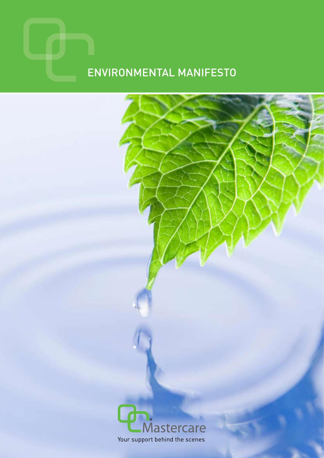# Environmental Manifesto

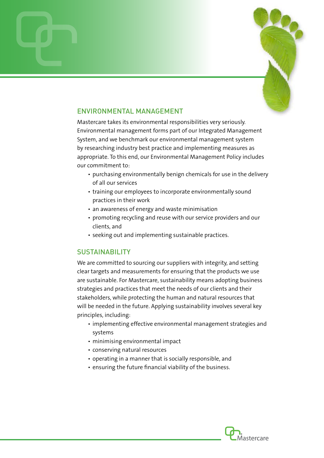

## ENVIRONMENTAL MANAGEMENT

Mastercare takes its environmental responsibilities very seriously. Environmental management forms part of our Integrated Management System, and we benchmark our environmental management system by researching industry best practice and implementing measures as appropriate. To this end, our Environmental Management Policy includes our commitment to:

- purchasing environmentally benign chemicals for use in the delivery of all our services
- training our employees to incorporate environmentally sound practices in their work
- an awareness of energy and waste minimisation
- promoting recycling and reuse with our service providers and our clients, and
- seeking out and implementing sustainable practices.

## SUSTAINABILITY

We are committed to sourcing our suppliers with integrity, and setting clear targets and measurements for ensuring that the products we use are sustainable. For Mastercare, sustainability means adopting business strategies and practices that meet the needs of our clients and their stakeholders, while protecting the human and natural resources that will be needed in the future. Applying sustainability involves several key principles, including:

- implementing effective environmental management strategies and systems
- minimising environmental impact
- conserving natural resources
- operating in a manner that is socially responsible, and
- ensuring the future financial viability of the business.

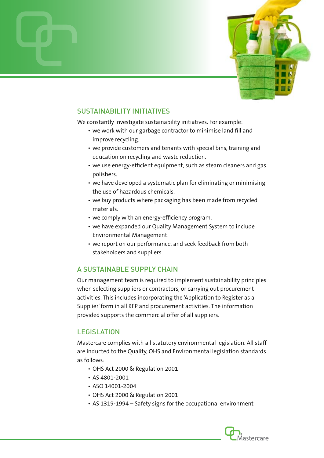

# SUSTAINABILITY INITIATIVES

We constantly investigate sustainability initiatives. For example:

- we work with our garbage contractor to minimise land fill and improve recycling.
- we provide customers and tenants with special bins, training and education on recycling and waste reduction.
- we use energy-efficient equipment, such as steam cleaners and gas polishers.
- we have developed a systematic plan for eliminating or minimising the use of hazardous chemicals.
- we buy products where packaging has been made from recycled materials.
- we comply with an energy-efficiency program.
- we have expanded our Quality Management System to include Environmental Management.
- we report on our performance, and seek feedback from both stakeholders and suppliers.

# A SUSTAINABLE SUPPLY CHAIN

Our management team is required to implement sustainability principles when selecting suppliers or contractors, or carrying out procurement activities. This includes incorporating the 'Application to Register as a Supplier' form in all RFP and procurement activities. The information provided supports the commercial offer of all suppliers.

## **LEGISLATION**

Mastercare complies with all statutory environmental legislation. All staff are inducted to the Quality, OHS and Environmental legislation standards as follows:

- OHS Act 2000 & Regulation 2001
- AS 4801-2001
- ASO 14001-2004
- OHS Act 2000 & Regulation 2001
- AS 1319-1994 Safety signs for the occupational environment

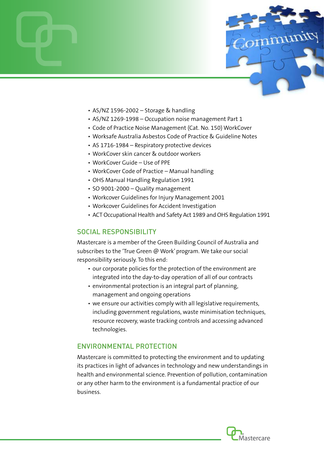

- AS/NZ 1596-2002 Storage & handling
- AS/NZ 1269-1998 Occupation noise management Part 1
- Code of Practice Noise Management (Cat. No. 150) WorkCover
- Worksafe Australia Asbestos Code of Practice & Guideline Notes
- AS 1716-1984 Respiratory protective devices
- WorkCover skin cancer & outdoor workers
- WorkCover Guide Use of PPE
- WorkCover Code of Practice Manual handling
- OHS Manual Handling Regulation 1991
- SO 9001-2000 Quality management
- Workcover Guidelines for Injury Management 2001
- Workcover Guidelines for Accident Investigation
- ACT Occupational Health and Safety Act 1989 and OHS Regulation 1991

## SOCIAL RESPONSIBILITY

Mastercare is a member of the Green Building Council of Australia and subscribes to the 'True Green @ Work' program. We take our social responsibility seriously. To this end:

- our corporate policies for the protection of the environment are integrated into the day-to-day operation of all of our contracts
- environmental protection is an integral part of planning, management and ongoing operations
- we ensure our activities comply with all legislative requirements, including government regulations, waste minimisation techniques, resource recovery, waste tracking controls and accessing advanced technologies.

### ENVIRONMENTAL PROTECTION

Mastercare is committed to protecting the environment and to updating its practices in light of advances in technology and new understandings in health and environmental science. Prevention of pollution, contamination or any other harm to the environment is a fundamental practice of our business.

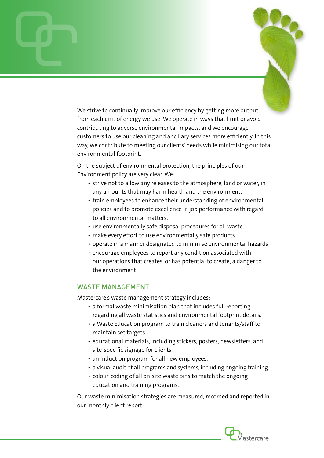We strive to continually improve our efficiency by getting more output from each unit of energy we use. We operate in ways that limit or avoid contributing to adverse environmental impacts, and we encourage customers to use our cleaning and ancillary services more efficiently. In this way, we contribute to meeting our clients' needs while minimising our total environmental footprint.

On the subject of environmental protection, the principles of our Environment policy are very clear. We:

- strive not to allow any releases to the atmosphere, land or water, in any amounts that may harm health and the environment.
- train employees to enhance their understanding of environmental policies and to promote excellence in job performance with regard to all environmental matters.
- use environmentally safe disposal procedures for all waste.
- make every effort to use environmentally safe products.
- operate in a manner designated to minimise environmental hazards
- encourage employees to report any condition associated with our operations that creates, or has potential to create, a danger to the environment.

#### WASTE MANAGEMENT

Mastercare's waste management strategy includes:

- a formal waste minimisation plan that includes full reporting regarding all waste statistics and environmental footprint details.
- a Waste Education program to train cleaners and tenants/staff to maintain set targets.
- educational materials, including stickers, posters, newsletters, and site-specific signage for clients.
- an induction program for all new employees.
- a visual audit of all programs and systems, including ongoing training.
- colour-coding of all on-site waste bins to match the ongoing education and training programs.

Our waste minimisation strategies are measured, recorded and reported in our monthly client report.

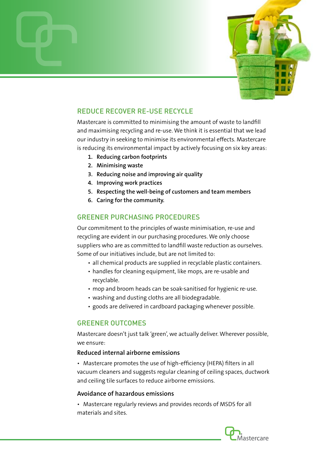

# REDUCE RECOVER RE-USE RECYCLE

Mastercare is committed to minimising the amount of waste to landfill and maximising recycling and re-use. We think it is essential that we lead our industry in seeking to minimise its environmental effects. Mastercare is reducing its environmental impact by actively focusing on six key areas:

- **1. Reducing carbon footprints**
- **2. Minimising waste**
- **3. Reducing noise and improving air quality**
- **4. Improving work practices**
- **5. Respecting the well-being of customers and team members**
- **6. Caring for the community.**

## GREENER PURCHASING PROCEDURES

Our commitment to the principles of waste minimisation, re-use and recycling are evident in our purchasing procedures. We only choose suppliers who are as committed to landfill waste reduction as ourselves. Some of our initiatives include, but are not limited to:

- all chemical products are supplied in recyclable plastic containers.
- handles for cleaning equipment, like mops, are re-usable and recyclable.
- mop and broom heads can be soak-sanitised for hygienic re-use.
- washing and dusting cloths are all biodegradable.
- goods are delivered in cardboard packaging whenever possible.

## GREENER OUTCOMES

Mastercare doesn't just talk 'green', we actually deliver. Wherever possible, we ensure:

### **Reduced internal airborne emissions**

• Mastercare promotes the use of high-efficiency (HEPA) filters in all vacuum cleaners and suggests regular cleaning of ceiling spaces, ductwork and ceiling tile surfaces to reduce airborne emissions.

### **Avoidance of hazardous emissions**

• Mastercare regularly reviews and provides records of MSDS for all materials and sites.

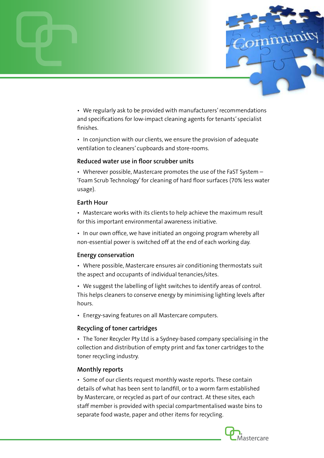

• We regularly ask to be provided with manufacturers' recommendations and specifications for low-impact cleaning agents for tenants' specialist finishes.

• In conjunction with our clients, we ensure the provision of adequate ventilation to cleaners' cupboards and store-rooms.

### **Reduced water use in floor scrubber units**

• Wherever possible, Mastercare promotes the use of the FaST System – 'Foam Scrub Technology' for cleaning of hard floor surfaces (70% less water usage).

### **Earth Hour**

• Mastercare works with its clients to help achieve the maximum result for this important environmental awareness initiative.

• In our own office, we have initiated an ongoing program whereby all non-essential power is switched off at the end of each working day.

### **Energy conservation**

• Where possible, Mastercare ensures air conditioning thermostats suit the aspect and occupants of individual tenancies/sites.

• We suggest the labelling of light switches to identify areas of control. This helps cleaners to conserve energy by minimising lighting levels after hours.

• Energy-saving features on all Mastercare computers.

## **Recycling of toner cartridges**

• The Toner Recycler Pty Ltd is a Sydney-based company specialising in the collection and distribution of empty print and fax toner cartridges to the toner recycling industry.

### **Monthly reports**

• Some of our clients request monthly waste reports. These contain details of what has been sent to landfill, or to a worm farm established by Mastercare, or recycled as part of our contract. At these sites, each staff member is provided with special compartmentalised waste bins to separate food waste, paper and other items for recycling.